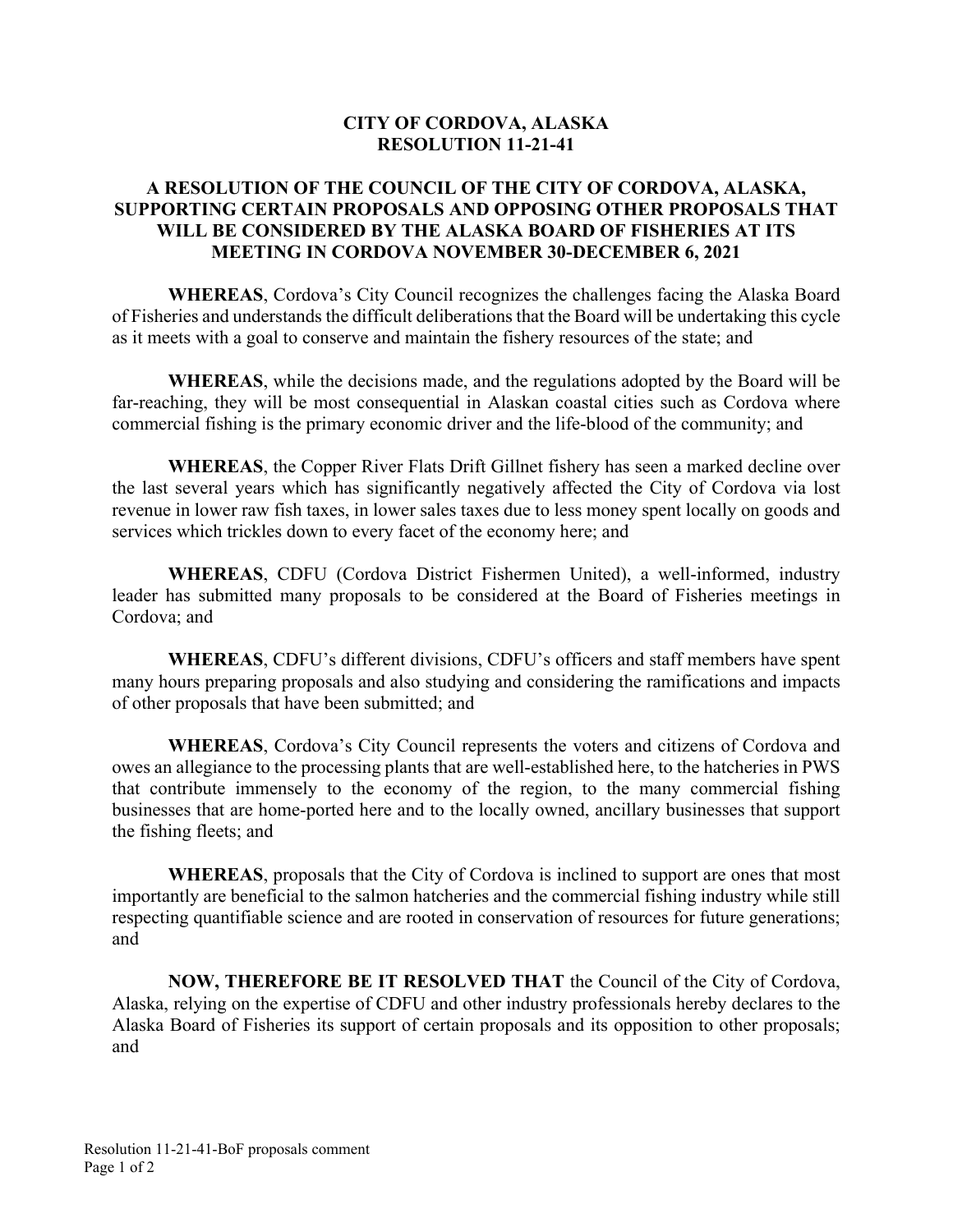## **CITY OF CORDOVA, ALASKA RESOLUTION 11-21-41**

## **A RESOLUTION OF THE COUNCIL OF THE CITY OF CORDOVA, ALASKA, SUPPORTING CERTAIN PROPOSALS AND OPPOSING OTHER PROPOSALS THAT WILL BE CONSIDERED BY THE ALASKA BOARD OF FISHERIES AT ITS MEETING IN CORDOVA NOVEMBER 30-DECEMBER 6, 2021**

**WHEREAS**, Cordova's City Council recognizes the challenges facing the Alaska Board of Fisheries and understands the difficult deliberations that the Board will be undertaking this cycle as it meets with a goal to conserve and maintain the fishery resources of the state; and

**WHEREAS**, while the decisions made, and the regulations adopted by the Board will be far-reaching, they will be most consequential in Alaskan coastal cities such as Cordova where commercial fishing is the primary economic driver and the life-blood of the community; and

**WHEREAS**, the Copper River Flats Drift Gillnet fishery has seen a marked decline over the last several years which has significantly negatively affected the City of Cordova via lost revenue in lower raw fish taxes, in lower sales taxes due to less money spent locally on goods and services which trickles down to every facet of the economy here; and

 **WHEREAS**, CDFU (Cordova District Fishermen United), a well-informed, industry leader has submitted many proposals to be considered at the Board of Fisheries meetings in Cordova; and

**WHEREAS**, CDFU's different divisions, CDFU's officers and staff members have spent many hours preparing proposals and also studying and considering the ramifications and impacts of other proposals that have been submitted; and

**WHEREAS**, Cordova's City Council represents the voters and citizens of Cordova and owes an allegiance to the processing plants that are well-established here, to the hatcheries in PWS that contribute immensely to the economy of the region, to the many commercial fishing businesses that are home-ported here and to the locally owned, ancillary businesses that support the fishing fleets; and

**WHEREAS**, proposals that the City of Cordova is inclined to support are ones that most importantly are beneficial to the salmon hatcheries and the commercial fishing industry while still respecting quantifiable science and are rooted in conservation of resources for future generations; and

**NOW, THEREFORE BE IT RESOLVED THAT** the Council of the City of Cordova, Alaska, relying on the expertise of CDFU and other industry professionals hereby declares to the Alaska Board of Fisheries its support of certain proposals and its opposition to other proposals; and